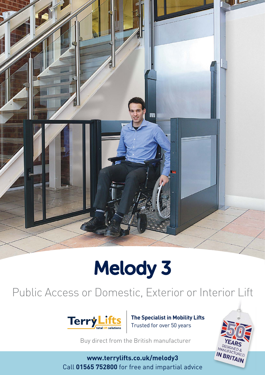

# Melody 3

### Public Access or Domestic, Exterior or Interior Lift



**The Specialist in Mobility Lifts** Trusted for over 50 years

Buy direct from the British manufacturer

**www.terrylifts.co.uk/melody3** Call **01565 752800** for free and impartial advice

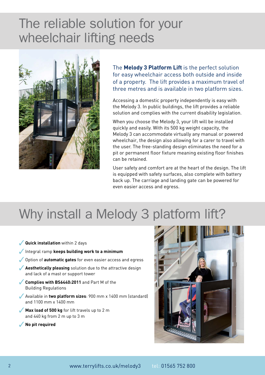## The reliable solution for your wheelchair lifting needs



The **Melody 3 Platform Lift** is the perfect solution for easy wheelchair access both outside and inside of a property. The lift provides a maximum travel of three metres and is available in two platform sizes.

Accessing a domestic property independently is easy with the Melody 3. In public buildings, the lift provides a reliable solution and complies with the current disability legislation.

When you choose the Melody 3, your lift will be installed quickly and easily. With its 500 kg weight capacity, the Melody 3 can accommodate virtually any manual or powered wheelchair, the design also allowing for a carer to travel with the user. The free-standing design eliminates the need for a pit or permanent floor fixture meaning existing floor finishes can be retained.

User safety and comfort are at the heart of the design. The lift is equipped with safety surfaces, also complete with battery back up. The carriage and landing gate can be powered for even easier access and egress.

## Why install a Melody 3 platform lift?

- 3**Quick installation** within 2 days Integral ramp **keeps building work to a minimum Soupling 1** Option of **automatic gates** for even easier access and egress **Aesthetically pleasing** solution due to the attractive design and lack of a mast or support tower **Complies with BS6440:2011** and Part M of the Building Regulations 3Available in **two platform sizes**: 900 mm x 1400 mm (standard) and 1100 mm x 1400 mm **Max load of 500 kg** for lift travels up to 2 m and 440 kg from 2 m up to 3 m
- 3**No pit required**

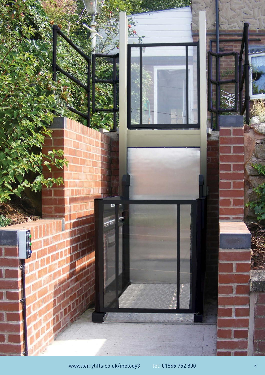